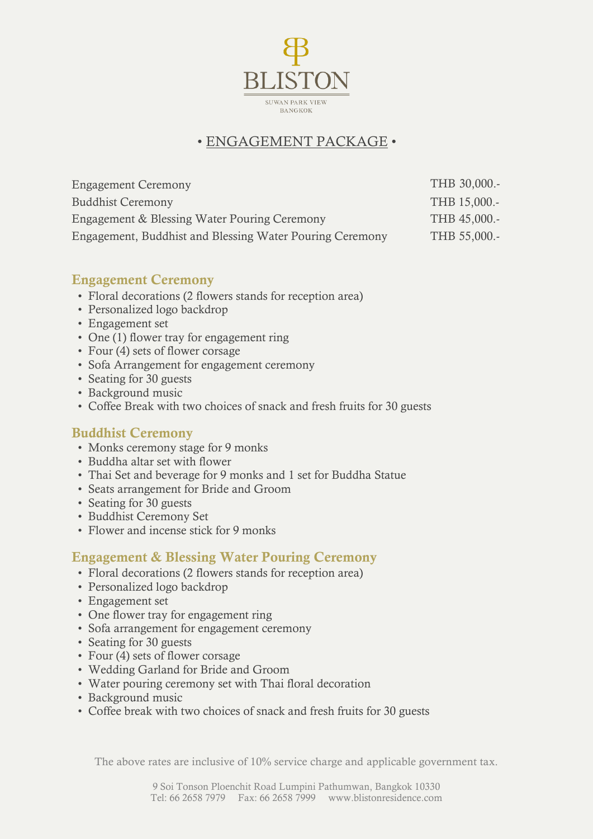

## • ENGAGEMENT PACKAGE •

| <b>Engagement Ceremony</b>                               | THB 30,000.- |
|----------------------------------------------------------|--------------|
| <b>Buddhist Ceremony</b>                                 | THB 15,000.- |
| Engagement & Blessing Water Pouring Ceremony             | THB 45,000.- |
| Engagement, Buddhist and Blessing Water Pouring Ceremony | THB 55,000.- |

#### **Engagement Ceremony**

- Floral decorations (2 flowers stands for reception area)
- Personalized logo backdrop
- Engagement set
- One (1) flower tray for engagement ring
- Four (4) sets of flower corsage
- Sofa Arrangement for engagement ceremony
- Seating for 30 guests
- Background music
- Coffee Break with two choices of snack and fresh fruits for 30 guests

### **Buddhist Ceremony**

- Monks ceremony stage for 9 monks
- Buddha altar set with flower
- Thai Set and beverage for 9 monks and 1 set for Buddha Statue
- Seats arrangement for Bride and Groom
- Seating for 30 guests
- Buddhist Ceremony Set
- Flower and incense stick for 9 monks

### **Engagement & Blessing Water Pouring Ceremony**

- Floral decorations (2 flowers stands for reception area)
- Personalized logo backdrop
- Engagement set
- One flower tray for engagement ring
- Sofa arrangement for engagement ceremony
- Seating for 30 guests
- Four (4) sets of flower corsage
- Wedding Garland for Bride and Groom
- Water pouring ceremony set with Thai floral decoration
- Background music
- Coffee break with two choices of snack and fresh fruits for 30 guests

The above rates are inclusive of 10% service charge and applicable government tax.